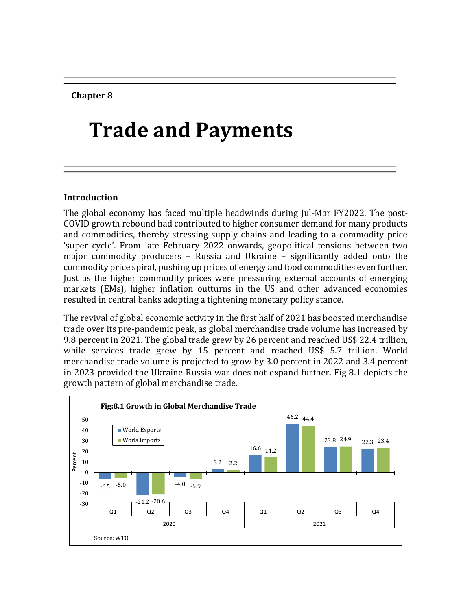**Chapter 8**

# **Trade and Payments**

## **Introduction**

The global economy has faced multiple headwinds during Jul-Mar FY2022. The post-COVID growth rebound had contributed to higher consumer demand for many products and commodities, thereby stressing supply chains and leading to a commodity price 'super cycle'. From late February 2022 onwards, geopolitical tensions between two major commodity producers – Russia and Ukraine – significantly added onto the commodity price spiral, pushing up prices of energy and food commodities even further. Just as the higher commodity prices were pressuring external accounts of emerging markets (EMs), higher inflation outturns in the US and other advanced economies resulted in central banks adopting a tightening monetary policy stance.

The revival of global economic activity in the first half of 2021 has boosted merchandise trade over its pre-pandemic peak, as global merchandise trade volume has increased by 9.8 percent in 2021. The global trade grew by 26 percent and reached US\$ 22.4 trillion, while services trade grew by 15 percent and reached US\$ 5.7 trillion. World merchandise trade volume is projected to grow by 3.0 percent in 2022 and 3.4 percent in 2023 provided the Ukraine-Russia war does not expand further. Fig 8.1 depicts the growth pattern of global merchandise trade.

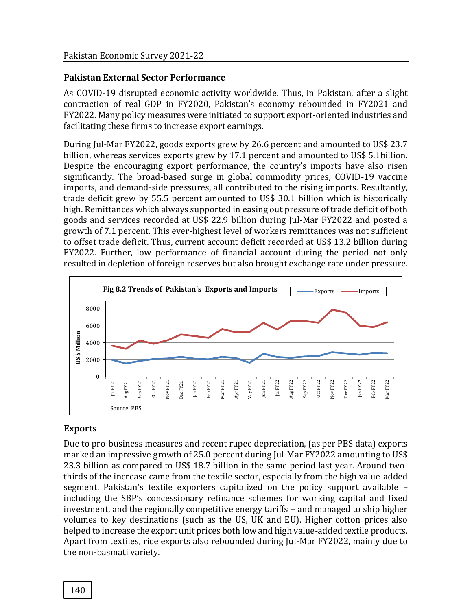## **Pakistan External Sector Performance**

As COVID-19 disrupted economic activity worldwide. Thus, in Pakistan, after a slight contraction of real GDP in FY2020, Pakistan's economy rebounded in FY2021 and FY2022. Many policy measures were initiated to support export-oriented industries and facilitating these firms to increase export earnings.

During Jul-Mar FY2022, goods exports grew by 26.6 percent and amounted to US\$ 23.7 billion, whereas services exports grew by 17.1 percent and amounted to US\$ 5.1billion. Despite the encouraging export performance, the country's imports have also risen significantly. The broad-based surge in global commodity prices, COVID-19 vaccine imports, and demand-side pressures, all contributed to the rising imports. Resultantly, trade deficit grew by 55.5 percent amounted to US\$ 30.1 billion which is historically high. Remittances which always supported in easing out pressure of trade deficit of both goods and services recorded at US\$ 22.9 billion during Jul-Mar FY2022 and posted a growth of 7.1 percent. This ever-highest level of workers remittances was not sufficient to offset trade deficit. Thus, current account deficit recorded at US\$ 13.2 billion during FY2022. Further, low performance of financial account during the period not only resulted in depletion of foreign reserves but also brought exchange rate under pressure.



## **Exports**

Due to pro-business measures and recent rupee depreciation, (as per PBS data) exports marked an impressive growth of 25.0 percent during Jul-Mar FY2022 amounting to US\$ 23.3 billion as compared to US\$ 18.7 billion in the same period last year. Around twothirds of the increase came from the textile sector, especially from the high value-added segment. Pakistan's textile exporters capitalized on the policy support available – including the SBP's concessionary refinance schemes for working capital and fixed investment, and the regionally competitive energy tariffs – and managed to ship higher volumes to key destinations (such as the US, UK and EU). Higher cotton prices also helped to increase the export unit prices both low and high value-added textile products. Apart from textiles, rice exports also rebounded during Jul-Mar FY2022, mainly due to the non-basmati variety.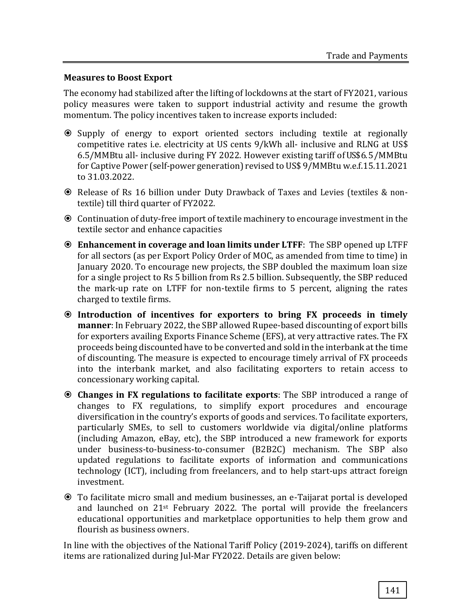## **Measures to Boost Export**

The economy had stabilized after the lifting of lockdowns at the start of FY2021, various policy measures were taken to support industrial activity and resume the growth momentum. The policy incentives taken to increase exports included:

- Supply of energy to export oriented sectors including textile at regionally competitive rates i.e. electricity at US cents 9/kWh all- inclusive and RLNG at US\$ 6.5/MMBtu all- inclusive during FY 2022. However existing tariff ofUS\$6. 5 /MMBtu for Captive Power (self-power generation) revised to US\$ 9/MMBtu w.e.f.15.11.2021 to 31.03.2022.
- Release of Rs 16 billion under Duty Drawback of Taxes and Levies (textiles & nontextile) till third quarter of FY2022.
- Continuation of duty-free import of textile machinery to encourage investment in the textile sector and enhance capacities
- **Enhancement in coverage and loan limits under LTFF**: The SBP opened up LTFF for all sectors (as per Export Policy Order of MOC, as amended from time to time) in January 2020. To encourage new projects, the SBP doubled the maximum loan size for a single project to Rs 5 billion from Rs 2.5 billion. Subsequently, the SBP reduced the mark-up rate on LTFF for non-textile firms to 5 percent, aligning the rates charged to textile firms.
- **Introduction of incentives for exporters to bring FX proceeds in timely manner**: In February 2022, the SBP allowed Rupee-based discounting of export bills for exporters availing Exports Finance Scheme (EFS), at very attractive rates. The FX proceeds being discounted have to be converted and sold in the interbank at the time of discounting. The measure is expected to encourage timely arrival of FX proceeds into the interbank market, and also facilitating exporters to retain access to concessionary working capital.
- **Changes in FX regulations to facilitate exports**: The SBP introduced a range of changes to FX regulations, to simplify export procedures and encourage diversification in the country's exports of goods and services. To facilitate exporters, particularly SMEs, to sell to customers worldwide via digital/online platforms (including Amazon, eBay, etc), the SBP introduced a new framework for exports under business-to-business-to-consumer (B2B2C) mechanism. The SBP also updated regulations to facilitate exports of information and communications technology (ICT), including from freelancers, and to help start-ups attract foreign investment.
- To facilitate micro small and medium businesses, an e-Taijarat portal is developed and launched on 21st February 2022. The portal will provide the freelancers educational opportunities and marketplace opportunities to help them grow and flourish as business owners.

In line with the objectives of the National Tariff Policy (2019-2024), tariffs on different items are rationalized during Jul-Mar FY2022. Details are given below: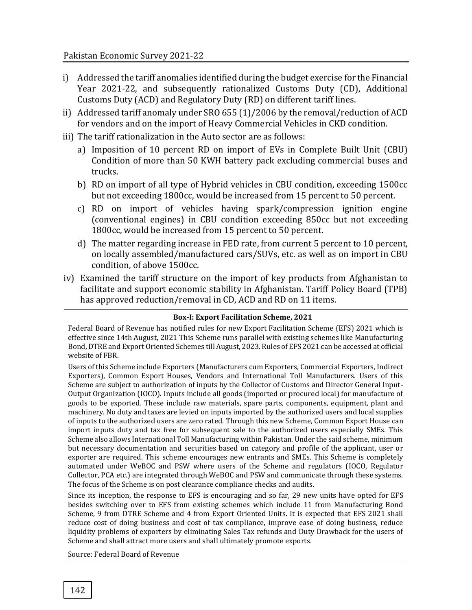- i) Addressed the tariff anomalies identified during the budget exercise for the Financial Year 2021-22, and subsequently rationalized Customs Duty (CD), Additional Customs Duty (ACD) and Regulatory Duty (RD) on different tariff lines.
- ii) Addressed tariff anomaly under SRO 655 (1)/2006 by the removal/reduction of ACD for vendors and on the import of Heavy Commercial Vehicles in CKD condition.
- iii) The tariff rationalization in the Auto sector are as follows:
	- a) Imposition of 10 percent RD on import of EVs in Complete Built Unit (CBU) Condition of more than 50 KWH battery pack excluding commercial buses and trucks.
	- b) RD on import of all type of Hybrid vehicles in CBU condition, exceeding 1500cc but not exceeding 1800cc, would be increased from 15 percent to 50 percent.
	- c) RD on import of vehicles having spark/compression ignition engine (conventional engines) in CBU condition exceeding 850cc but not exceeding 1800cc, would be increased from 15 percent to 50 percent.
	- d) The matter regarding increase in FED rate, from current 5 percent to 10 percent, on locally assembled/manufactured cars/SUVs, etc. as well as on import in CBU condition, of above 1500cc.
- iv) Examined the tariff structure on the import of key products from Afghanistan to facilitate and support economic stability in Afghanistan. Tariff Policy Board (TPB) has approved reduction/removal in CD, ACD and RD on 11 items.

#### **Box-I: Export Facilitation Scheme, 2021**

Federal Board of Revenue has notified rules for new Export Facilitation Scheme (EFS) 2021 which is effective since 14th August, 2021 This Scheme runs parallel with existing schemes like Manufacturing Bond, DTRE and Export Oriented Schemes till August, 2023. Rules of EFS 2021 can be accessed at official website of FBR.

Users of this Scheme include Exporters (Manufacturers cum Exporters, Commercial Exporters, Indirect Exporters), Common Export Houses, Vendors and International Toll Manufacturers. Users of this Scheme are subject to authorization of inputs by the Collector of Customs and Director General Input-Output Organization (IOCO). Inputs include all goods (imported or procured local) for manufacture of goods to be exported. These include raw materials, spare parts, components, equipment, plant and machinery. No duty and taxes are levied on inputs imported by the authorized users and local supplies of inputs to the authorized users are zero rated. Through this new Scheme, Common Export House can import inputs duty and tax free for subsequent sale to the authorized users especially SMEs. This Scheme also allows International Toll Manufacturing within Pakistan. Under the said scheme, minimum but necessary documentation and securities based on category and profile of the applicant, user or exporter are required. This scheme encourages new entrants and SMEs. This Scheme is completely automated under WeBOC and PSW where users of the Scheme and regulators (IOCO, Regulator Collector, PCA etc.) are integrated through WeBOC and PSW and communicate through these systems. The focus of the Scheme is on post clearance compliance checks and audits.

Since its inception, the response to EFS is encouraging and so far, 29 new units have opted for EFS besides switching over to EFS from existing schemes which include 11 from Manufacturing Bond Scheme, 9 from DTRE Scheme and 4 from Export Oriented Units. It is expected that EFS 2021 shall reduce cost of doing business and cost of tax compliance, improve ease of doing business, reduce liquidity problems of exporters by eliminating Sales Tax refunds and Duty Drawback for the users of Scheme and shall attract more users and shall ultimately promote exports.

Source: Federal Board of Revenue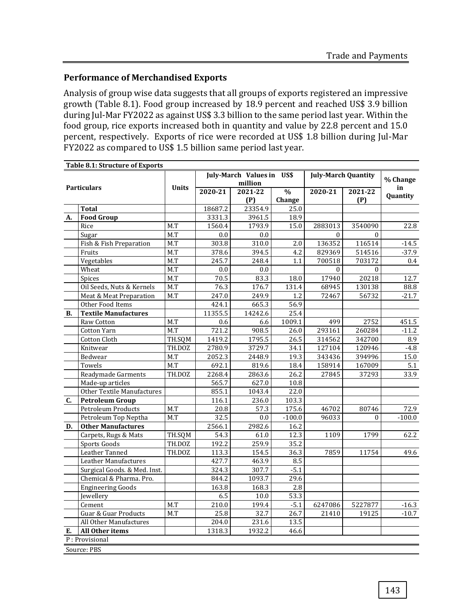## **Performance of Merchandised Exports**

Analysis of group wise data suggests that all groups of exports registered an impressive growth (Table 8.1). Food group increased by 18.9 percent and reached US\$ 3.9 billion during Jul-Mar FY2022 as against US\$ 3.3 billion to the same period last year. Within the food group, rice exports increased both in quantity and value by 22.8 percent and 15.0 percent, respectively. Exports of rice were recorded at US\$ 1.8 billion during Jul-Mar FY2022 as compared to US\$ 1.5 billion same period last year.

|           | <b>Table 8.1: Structure of Exports</b> |              |         |                           |               |                            |          |          |  |
|-----------|----------------------------------------|--------------|---------|---------------------------|---------------|----------------------------|----------|----------|--|
|           |                                        |              |         | July-March Values in US\$ |               | <b>July-March Quantity</b> | % Change |          |  |
|           | <b>Particulars</b>                     | <b>Units</b> | million |                           |               |                            |          | in       |  |
|           |                                        |              | 2020-21 | 2021-22                   | $\frac{0}{0}$ | 2020-21                    | 2021-22  | Quantity |  |
|           |                                        |              |         | (P)                       | Change        |                            | (P)      |          |  |
|           | <b>Total</b>                           |              | 18687.2 | 23354.9                   | 25.0          |                            |          |          |  |
| А.        | <b>Food Group</b>                      |              | 3331.3  | 3961.5                    | 18.9          |                            |          |          |  |
|           | Rice                                   | M.T          | 1560.4  | 1793.9                    | 15.0          | 2883013                    | 3540090  | 22.8     |  |
|           | Sugar                                  | M.T          | 0.0     | 0.0                       |               | $\Omega$                   | $\Omega$ |          |  |
|           | Fish & Fish Preparation                | M.T          | 303.8   | 310.0                     | 2.0           | 136352                     | 116514   | $-14.5$  |  |
|           | Fruits                                 | M.T          | 378.6   | 394.5                     | 4.2           | 829369                     | 514516   | $-37.9$  |  |
|           | Vegetables                             | M.T          | 245.7   | 248.4                     | 1.1           | 700518                     | 703172   | 0.4      |  |
|           | Wheat                                  | M.T          | 0.0     | 0.0                       |               | $\Omega$                   | $\Omega$ |          |  |
|           | Spices                                 | M.T          | 70.5    | 83.3                      | 18.0          | 17940                      | 20218    | 12.7     |  |
|           | Oil Seeds, Nuts & Kernels              | M.T          | 76.3    | 176.7                     | 131.4         | 68945                      | 130138   | 88.8     |  |
|           | Meat & Meat Preparation                | M.T          | 247.0   | 249.9                     | 1.2           | 72467                      | 56732    | $-21.7$  |  |
|           | Other Food Items                       |              | 424.1   | 665.3                     | 56.9          |                            |          |          |  |
| <b>B.</b> | <b>Textile Manufactures</b>            |              | 11355.5 | 14242.6                   | 25.4          |                            |          |          |  |
|           | Raw Cotton                             | M.T          | 0.6     | 6.6                       | 1009.1        | 499                        | 2752     | 451.5    |  |
|           | Cotton Yarn                            | M.T          | 721.2   | 908.5                     | 26.0          | 293161                     | 260284   | $-11.2$  |  |
|           | Cotton Cloth                           | TH.SQM       | 1419.2  | 1795.5                    | 26.5          | 314562                     | 342700   | 8.9      |  |
|           | Knitwear                               | TH.DOZ       | 2780.9  | 3729.7                    | 34.1          | 127104                     | 120946   | $-4.8$   |  |
|           | Bedwear                                | M.T          | 2052.3  | 2448.9                    | 19.3          | 343436                     | 394996   | 15.0     |  |
|           | Towels                                 | M.T          | 692.1   | 819.6                     | 18.4          | 158914                     | 167009   | 5.1      |  |
|           | Readymade Garments                     | TH.DOZ       | 2268.4  | 2863.6                    | 26.2          | 27845                      | 37293    | 33.9     |  |
|           | Made-up articles                       |              | 565.7   | 627.0                     | 10.8          |                            |          |          |  |
|           | Other Textile Manufactures             |              | 855.1   | 1043.4                    | 22.0          |                            |          |          |  |
| C.        | <b>Petroleum Group</b>                 |              | 116.1   | 236.0                     | 103.3         |                            |          |          |  |
|           | <b>Petroleum Products</b>              | M.T          | 20.8    | 57.3                      | 175.6         | 46702                      | 80746    | 72.9     |  |
|           | Petroleum Top Neptha                   | M.T          | 32.5    | 0.0                       | $-100.0$      | 96033                      | $\Omega$ | $-100.0$ |  |
| D.        | <b>Other Manufactures</b>              |              | 2566.1  | 2982.6                    | 16.2          |                            |          |          |  |
|           | Carpets, Rugs & Mats                   | TH.SQM       | 54.3    | 61.0                      | 12.3          | 1109                       | 1799     | 62.2     |  |
|           | Sports Goods                           | TH.DOZ       | 192.2   | 259.9                     | 35.2          |                            |          |          |  |
|           | Leather Tanned                         | TH.DOZ       | 113.3   | 154.5                     | 36.3          | 7859                       | 11754    | 49.6     |  |
|           | Leather Manufactures                   |              | 427.7   | 463.9                     | 8.5           |                            |          |          |  |
|           | Surgical Goods. & Med. Inst.           |              | 324.3   | 307.7                     | $-5.1$        |                            |          |          |  |
|           | Chemical & Pharma. Pro.                |              | 844.2   | 1093.7                    | 29.6          |                            |          |          |  |
|           | <b>Engineering Goods</b>               |              | 163.8   | 168.3                     | 2.8           |                            |          |          |  |
|           | Jewellery                              |              | 6.5     | 10.0                      | 53.3          |                            |          |          |  |
|           | Cement                                 | M.T          | 210.0   | 199.4                     | $-5.1$        | 6247086                    | 5227877  | $-16.3$  |  |
|           | <b>Guar &amp; Guar Products</b>        | M.T          | 25.8    | 32.7                      | 26.7          | 21410                      | 19125    | $-10.7$  |  |
|           | All Other Manufactures                 |              | 204.0   | 231.6                     | 13.5          |                            |          |          |  |
|           |                                        |              |         |                           |               |                            |          |          |  |
| Е.        | All Other items                        |              | 1318.3  | 1932.2                    | 46.6          |                            |          |          |  |
|           | P: Provisional                         |              |         |                           |               |                            |          |          |  |
|           | Source: PBS                            |              |         |                           |               |                            |          |          |  |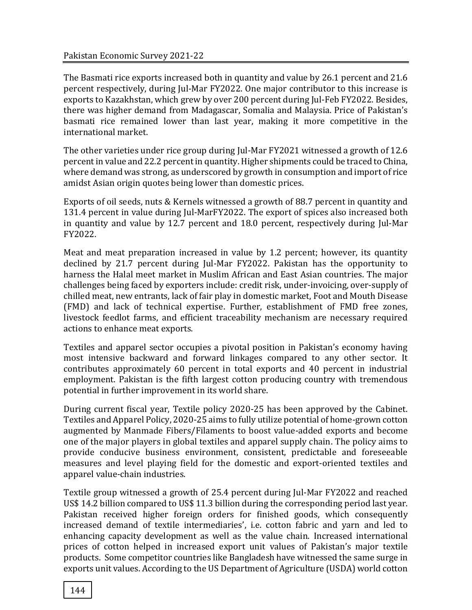The Basmati rice exports increased both in quantity and value by 26.1 percent and 21.6 percent respectively, during Jul-Mar FY2022. One major contributor to this increase is exports to Kazakhstan, which grew by over 200 percent during Jul-Feb FY2022. Besides, there was higher demand from Madagascar, Somalia and Malaysia. Price of Pakistan's basmati rice remained lower than last year, making it more competitive in the international market.

The other varieties under rice group during Jul-Mar FY2021 witnessed a growth of 12.6 percent in value and 22.2 percent in quantity. Higher shipments could be traced to China, where demand was strong, as underscored by growth in consumption and import of rice amidst Asian origin quotes being lower than domestic prices.

Exports of oil seeds, nuts & Kernels witnessed a growth of 88.7 percent in quantity and 131.4 percent in value during Jul-MarFY2022. The export of spices also increased both in quantity and value by 12.7 percent and 18.0 percent, respectively during Jul-Mar FY2022.

Meat and meat preparation increased in value by 1.2 percent; however, its quantity declined by 21.7 percent during Jul-Mar FY2022. Pakistan has the opportunity to harness the Halal meet market in Muslim African and East Asian countries. The major challenges being faced by exporters include: credit risk, under-invoicing, over-supply of chilled meat, new entrants, lack of fair play in domestic market, Foot and Mouth Disease (FMD) and lack of technical expertise. Further, establishment of FMD free zones, livestock feedlot farms, and efficient traceability mechanism are necessary required actions to enhance meat exports.

Textiles and apparel sector occupies a pivotal position in Pakistan's economy having most intensive backward and forward linkages compared to any other sector. It contributes approximately 60 percent in total exports and 40 percent in industrial employment. Pakistan is the fifth largest cotton producing country with tremendous potential in further improvement in its world share.

During current fiscal year, Textile policy 2020-25 has been approved by the Cabinet. Textiles and Apparel Policy, 2020-25 aims to fully utilize potential of home-grown cotton augmented by Manmade Fibers/Filaments to boost value-added exports and become one of the major players in global textiles and apparel supply chain. The policy aims to provide conducive business environment, consistent, predictable and foreseeable measures and level playing field for the domestic and export-oriented textiles and apparel value-chain industries.

Textile group witnessed a growth of 25.4 percent during Jul-Mar FY2022 and reached US\$ 14.2 billion compared to US\$ 11.3 billion during the corresponding period last year. Pakistan received higher foreign orders for finished goods, which consequently increased demand of textile intermediaries', i.e. cotton fabric and yarn and led to enhancing capacity development as well as the value chain. Increased international prices of cotton helped in increased export unit values of Pakistan's major textile products. Some competitor countries like Bangladesh have witnessed the same surge in exports unit values. According to the US Department of Agriculture (USDA) world cotton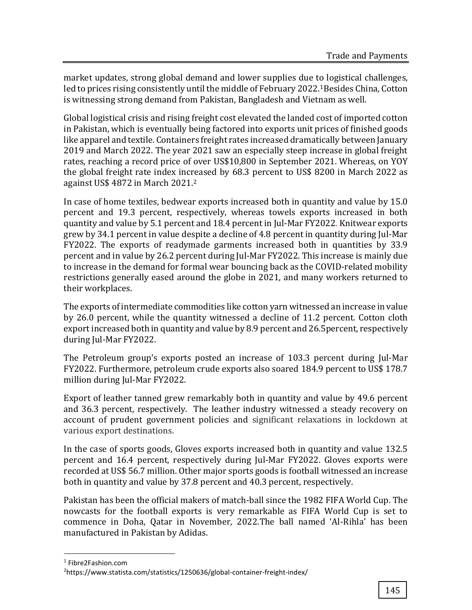market updates, strong global demand and lower supplies due to logistical challenges, led to prices rising consistently until the middle of February 2022.<sup>1</sup>Besides China, Cotton is witnessing strong demand from Pakistan, Bangladesh and Vietnam as well.

Global logistical crisis and rising freight cost elevated the landed cost of imported cotton in Pakistan, which is eventually being factored into exports unit prices of finished goods like apparel and textile. Containers freight rates increased dramatically between January 2019 and March 2022. The year 2021 saw an especially steep increase in global freight rates, reaching a record price of over US\$10,800 in September 2021. Whereas, on YOY the global freight rate index increased by 68.3 percent to US\$ 8200 in March 2022 as against US\$ 4872 in March 2021.<sup>2</sup>

In case of home textiles, bedwear exports increased both in quantity and value by 15.0 percent and 19.3 percent, respectively, whereas towels exports increased in both quantity and value by 5.1 percent and 18.4 percent in Jul-Mar FY2022. Knitwear exports grew by 34.1 percent in value despite a decline of 4.8 percent in quantity during Jul-Mar FY2022. The exports of readymade garments increased both in quantities by 33.9 percent and in value by 26.2 percent during Jul-Mar FY2022. This increase is mainly due to increase in the demand for formal wear bouncing back as the COVID-related mobility restrictions generally eased around the globe in 2021, and many workers returned to their workplaces.

The exports of intermediate commodities like cotton yarn witnessed an increase in value by 26.0 percent, while the quantity witnessed a decline of 11.2 percent. Cotton cloth export increased both in quantity and value by 8.9 percent and 26.5percent, respectively during Jul-Mar FY2022.

The Petroleum group's exports posted an increase of 103.3 percent during Jul-Mar FY2022. Furthermore, petroleum crude exports also soared 184.9 percent to US\$ 178.7 million during Jul-Mar FY2022.

Export of leather tanned grew remarkably both in quantity and value by 49.6 percent and 36.3 percent, respectively. The leather industry witnessed a steady recovery on account of prudent government policies and significant relaxations in lockdown at various export destinations.

In the case of sports goods, Gloves exports increased both in quantity and value 132.5 percent and 16.4 percent, respectively during Jul-Mar FY2022. Gloves exports were recorded at US\$ 56.7 million. Other major sports goods is football witnessed an increase both in quantity and value by 37.8 percent and 40.3 percent, respectively.

Pakistan has been the official makers of match-ball since the 1982 FIFA World Cup. The nowcasts for the football exports is very remarkable as FIFA World Cup is set to commence in Doha, Qatar in November, 2022.The ball named 'Al-Rihla' has been manufactured in Pakistan by Adidas.

l

<sup>1</sup> Fibre2Fashion.com

<sup>2</sup>https://www.statista.com/statistics/1250636/global-container-freight-index/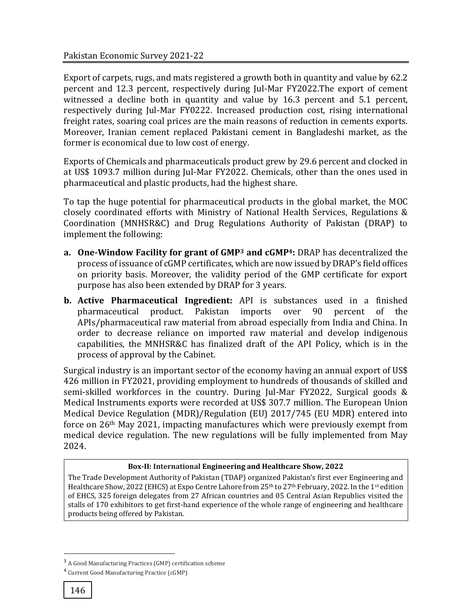Export of carpets, rugs, and mats registered a growth both in quantity and value by 62.2 percent and 12.3 percent, respectively during Jul-Mar FY2022.The export of cement witnessed a decline both in quantity and value by 16.3 percent and 5.1 percent, respectively during Jul-Mar FY0222. Increased production cost, rising international freight rates, soaring coal prices are the main reasons of reduction in cements exports. Moreover, Iranian cement replaced Pakistani cement in Bangladeshi market, as the former is economical due to low cost of energy.

Exports of Chemicals and pharmaceuticals product grew by 29.6 percent and clocked in at US\$ 1093.7 million during Jul-Mar FY2022. Chemicals, other than the ones used in pharmaceutical and plastic products, had the highest share.

To tap the huge potential for pharmaceutical products in the global market, the MOC closely coordinated efforts with Ministry of National Health Services, Regulations & Coordination (MNHSR&C) and Drug Regulations Authority of Pakistan (DRAP) to implement the following:

- **a. One-Window Facility for grant of GMP<sup>3</sup> and cGMP4:** DRAP has decentralized the process of issuance of cGMP certificates, which are now issued by DRAP's field offices on priority basis. Moreover, the validity period of the GMP certificate for export purpose has also been extended by DRAP for 3 years.
- **b. Active Pharmaceutical Ingredient:** API is substances used in a finished pharmaceutical product. Pakistan imports over 90 percent of the APIs/pharmaceutical raw material from abroad especially from India and China. In order to decrease reliance on imported raw material and develop indigenous capabilities, the MNHSR&C has finalized draft of the API Policy, which is in the process of approval by the Cabinet.

Surgical industry is an important sector of the economy having an annual export of US\$ 426 million in FY2021, providing employment to hundreds of thousands of skilled and semi-skilled workforces in the country. During Jul-Mar FY2022, Surgical goods & Medical Instruments exports were recorded at US\$ 307.7 million. The European Union Medical Device Regulation (MDR)/Regulation (EU) 2017/745 (EU MDR) entered into force on 26th May 2021, impacting manufactures which were previously exempt from medical device regulation. The new regulations will be fully implemented from May 2024.

#### **Box-II: International Engineering and Healthcare Show, 2022**

The Trade Development Authority of Pakistan (TDAP) organized Pakistan's first ever Engineering and Healthcare Show, 2022 (EHCS) at Expo Centre Lahore from 25<sup>th</sup> to 27<sup>th</sup> February, 2022. In the 1<sup>st</sup> edition of EHCS, 325 foreign delegates from 27 African countries and 05 Central Asian Republics visited the stalls of 170 exhibitors to get first-hand experience of the whole range of engineering and healthcare products being offered by Pakistan.

l

<sup>3</sup> A Good Manufacturing Practices (GMP) certification scheme

<sup>4</sup> Current Good Manufacturing Practice (cGMP)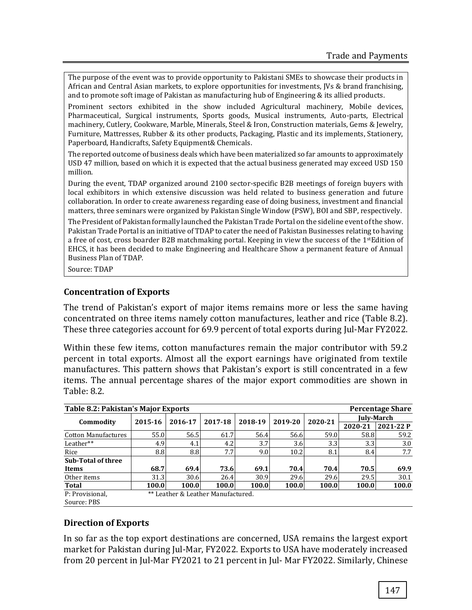The purpose of the event was to provide opportunity to Pakistani SMEs to showcase their products in African and Central Asian markets, to explore opportunities for investments, JVs & brand franchising, and to promote soft image of Pakistan as manufacturing hub of Engineering & its allied products.

Prominent sectors exhibited in the show included Agricultural machinery, Mobile devices, Pharmaceutical, Surgical instruments, Sports goods, Musical instruments, Auto-parts, Electrical machinery, Cutlery, Cookware, Marble, Minerals, Steel & Iron, Construction materials, Gems & Jewelry, Furniture, Mattresses, Rubber & its other products, Packaging, Plastic and its implements, Stationery, Paperboard, Handicrafts, Safety Equipment& Chemicals.

The reported outcome of business deals which have been materialized so far amounts to approximately USD 47 million, based on which it is expected that the actual business generated may exceed USD 150 million.

During the event, TDAP organized around 2100 sector-specific B2B meetings of foreign buyers with local exhibitors in which extensive discussion was held related to business generation and future collaboration. In order to create awareness regarding ease of doing business, investment and financial matters, three seminars were organized by Pakistan Single Window (PSW), BOI and SBP, respectively.

The President of Pakistan formally launched the Pakistan Trade Portal on the sideline event of the show. Pakistan Trade Portal is an initiative of TDAP to cater the need of Pakistan Businesses relating to having a free of cost, cross boarder B2B matchmaking portal. Keeping in view the success of the 1stEdition of EHCS, it has been decided to make Engineering and Healthcare Show a permanent feature of Annual Business Plan of TDAP.

Source: TDAP

#### **Concentration of Exports**

The trend of Pakistan's export of major items remains more or less the same having concentrated on three items namely cotton manufactures, leather and rice (Table 8.2). These three categories account for 69.9 percent of total exports during Jul-Mar FY2022.

Within these few items, cotton manufactures remain the major contributor with 59.2 percent in total exports. Almost all the export earnings have originated from textile manufactures. This pattern shows that Pakistan's export is still concentrated in a few items. The annual percentage shares of the major export commodities are shown in Table: 8.2.

| Table 8.2: Pakistan's Major Exports<br><b>Percentage Share</b> |                                    |         |                  |         |         |                  |            |           |  |  |  |
|----------------------------------------------------------------|------------------------------------|---------|------------------|---------|---------|------------------|------------|-----------|--|--|--|
|                                                                |                                    |         | 2017-18          | 2018-19 | 2019-20 |                  | July-March |           |  |  |  |
| Commodity                                                      | 2015-16                            | 2016-17 |                  |         |         | 2020-21          | 2020-21    | 2021-22 P |  |  |  |
| <b>Cotton Manufactures</b>                                     | 55.0                               | 56.5    | 61.7             | 56.4    | 56.6    | 59.0             | 58.8       | 59.2      |  |  |  |
| Leather**                                                      | 4.9                                | 4.1     | 4.2 <sub>l</sub> | 3.7     | 3.6     | 3.3 <sub>l</sub> | 3.3        | 3.0       |  |  |  |
| Rice                                                           | 8.8                                | 8.8     | 7.7              | 9.0     | 10.2    | 8.1              | 8.4        | 7.7       |  |  |  |
| Sub-Total of three                                             |                                    |         |                  |         |         |                  |            |           |  |  |  |
| <b>Items</b>                                                   | 68.7                               | 69.4    | 73.6             | 69.1    | 70.4    | 70.4             | 70.5       | 69.9      |  |  |  |
| Other items                                                    | 31.3                               | 30.6    | 26.4             | 30.9    | 29.6    | 29.6             | 29.5       | 30.1      |  |  |  |
| Total                                                          | 100.0                              | 100.0   | 100.0            | 100.0   | 100.0   | 100.0            | 100.0      | 100.0     |  |  |  |
| P: Provisional,                                                | ** Leather & Leather Manufactured. |         |                  |         |         |                  |            |           |  |  |  |
| Source: PBS                                                    |                                    |         |                  |         |         |                  |            |           |  |  |  |

## **Direction of Exports**

In so far as the top export destinations are concerned, USA remains the largest export market for Pakistan during Jul-Mar, FY2022. Exports to USA have moderately increased from 20 percent in Jul-Mar FY2021 to 21 percent in Jul- Mar FY2022. Similarly, Chinese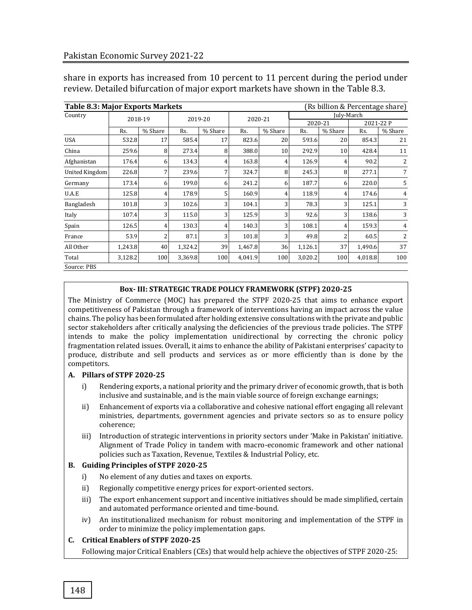share in exports has increased from 10 percent to 11 percent during the period under review. Detailed bifurcation of major export markets have shown in the Table 8.3.

| <b>Table 8.3: Major Exports Markets</b> |         |                |         |                |         |                |            | (Rs billion & Percentage share) |           |                |
|-----------------------------------------|---------|----------------|---------|----------------|---------|----------------|------------|---------------------------------|-----------|----------------|
| Country                                 | 2018-19 |                | 2019-20 |                | 2020-21 |                | July-March |                                 |           |                |
|                                         |         |                |         |                |         |                | 2020-21    |                                 | 2021-22 P |                |
|                                         | Rs.     | % Share        | Rs.     | % Share        | Rs.     | % Share        | Rs.        | % Share                         | Rs.       | % Share        |
| <b>USA</b>                              | 532.8   | 17             | 585.4   | 17             | 823.6   | 20             | 593.6      | 20                              | 854.3     | 21             |
| China                                   | 259.6   | 8              | 273.4   | 8              | 388.0   | 10             | 292.9      | 10                              | 428.4     | 11             |
| Afghanistan                             | 176.4   | 6              | 134.3   | 4              | 163.8   | $\overline{4}$ | 126.9      | 4                               | 90.2      | $\overline{2}$ |
| United Kingdom                          | 226.8   | 7 <sub>l</sub> | 239.6   | 7              | 324.7   | 8              | 245.3      | 8                               | 277.1     | $\overline{7}$ |
| Germany                                 | 173.4   | 6              | 199.0   | 6              | 241.2   | 6              | 187.7      | h                               | 220.0     | 5              |
| U.A.E                                   | 125.8   | $\overline{4}$ | 178.9   | 5.             | 160.9   | 4              | 118.9      | 4                               | 174.6     | 4              |
| Bangladesh                              | 101.8   | $\overline{3}$ | 102.6   | 3              | 104.1   | 3              | 78.3       | 3                               | 125.1     | 3              |
| Italy                                   | 107.4   | $\overline{3}$ | 115.0   | $\overline{3}$ | 125.9   | 3              | 92.6       | 3                               | 138.6     | 3              |
| Spain                                   | 126.5   | $\overline{4}$ | 130.3   | 4              | 140.3   | 3 <sub>1</sub> | 108.1      |                                 | 159.3     | 4              |
| France                                  | 53.9    | 2              | 87.1    | 3              | 101.8   | 3              | 49.8       |                                 | 60.5      | 2              |
| All Other                               | 1,243.8 | 40             | 1,324.2 | 39             | 1,467.8 | 36             | 1,126.1    | 37                              | 1,490.6   | 37             |
| Total                                   | 3,128.2 | 100            | 3,369.8 | 100            | 4,041.9 | 100            | 3,020.2    | 100                             | 4,018.8   | 100            |
| Source: PBS                             |         |                |         |                |         |                |            |                                 |           |                |

#### **Box- III: STRATEGIC TRADE POLICY FRAMEWORK (STPF) 2020-25**

The Ministry of Commerce (MOC) has prepared the STPF 2020-25 that aims to enhance export competitiveness of Pakistan through a framework of interventions having an impact across the value chains. The policy has been formulated after holding extensive consultations with the private and public sector stakeholders after critically analysing the deficiencies of the previous trade policies. The STPF intends to make the policy implementation unidirectional by correcting the chronic policy fragmentation related issues. Overall, it aims to enhance the ability of Pakistani enterprises' capacity to produce, distribute and sell products and services as or more efficiently than is done by the competitors.

#### **A. Pillars of STPF 2020-25**

- i) Rendering exports, a national priority and the primary driver of economic growth, that is both inclusive and sustainable, and is the main viable source of foreign exchange earnings;
- ii) Enhancement of exports via a collaborative and cohesive national effort engaging all relevant ministries, departments, government agencies and private sectors so as to ensure policy coherence;
- iii) Introduction of strategic interventions in priority sectors under 'Make in Pakistan' initiative. Alignment of Trade Policy in tandem with macro-economic framework and other national policies such as Taxation, Revenue, Textiles & Industrial Policy, etc.

#### **B. Guiding Principles of STPF 2020-25**

- i) No element of any duties and taxes on exports.
- ii) Regionally competitive energy prices for export-oriented sectors.
- iii) The export enhancement support and incentive initiatives should be made simplified, certain and automated performance oriented and time-bound.
- iv) An institutionalized mechanism for robust monitoring and implementation of the STPF in order to minimize the policy implementation gaps.

#### **C. Critical Enablers of STPF 2020-25**

Following major Critical Enablers (CEs) that would help achieve the objectives of STPF 2020-25: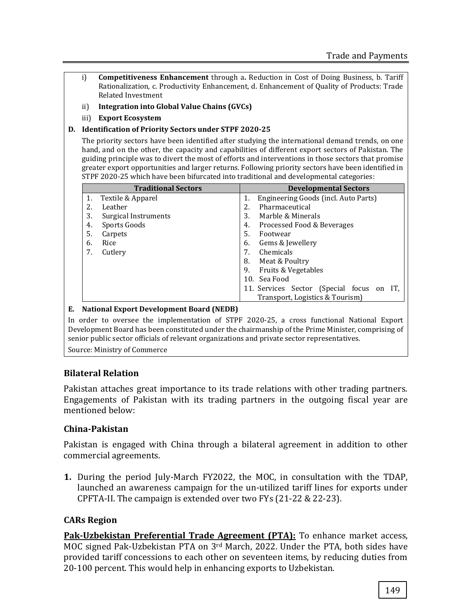- i) **Competitiveness Enhancement** through a. Reduction in Cost of Doing Business, b. Tariff Rationalization, c. Productivity Enhancement, d. Enhancement of Quality of Products: Trade Related Investment
- ii) **Integration into Global Value Chains (GVCs)**
- iii) **Export Ecosystem**

#### **D. Identification of Priority Sectors under STPF 2020-25**

The priority sectors have been identified after studying the international demand trends, on one hand, and on the other, the capacity and capabilities of different export sectors of Pakistan. The guiding principle was to divert the most of efforts and interventions in those sectors that promise greater export opportunities and larger returns. Following priority sectors have been identified in STPF 2020-25 which have been bifurcated into traditional and developmental categories:

|    | <b>Traditional Sectors</b>  | <b>Developmental Sectors</b>     |                                              |  |  |  |  |  |
|----|-----------------------------|----------------------------------|----------------------------------------------|--|--|--|--|--|
| 1. | Textile & Apparel           | 1.                               | Engineering Goods (incl. Auto Parts)         |  |  |  |  |  |
| 2. | Leather                     | 2.                               | Pharmaceutical                               |  |  |  |  |  |
| 3. | <b>Surgical Instruments</b> | 3.                               | Marble & Minerals                            |  |  |  |  |  |
| 4. | Sports Goods                | Processed Food & Beverages<br>4. |                                              |  |  |  |  |  |
| 5. | Carpets                     | 5.                               | Footwear                                     |  |  |  |  |  |
| 6. | Rice                        | 6.<br>Gems & Jewellery           |                                              |  |  |  |  |  |
| 7. | Cutlery                     | 7.                               | Chemicals                                    |  |  |  |  |  |
|    |                             | 8.                               | Meat & Poultry                               |  |  |  |  |  |
|    |                             | 9.                               | Fruits & Vegetables                          |  |  |  |  |  |
|    |                             |                                  | 10. Sea Food                                 |  |  |  |  |  |
|    |                             |                                  | 11. Services Sector (Special focus on<br>IT. |  |  |  |  |  |
|    |                             |                                  | Transport, Logistics & Tourism)              |  |  |  |  |  |

#### **E. National Export Development Board (NEDB)**

In order to oversee the implementation of STPF 2020-25, a cross functional National Export Development Board has been constituted under the chairmanship of the Prime Minister, comprising of senior public sector officials of relevant organizations and private sector representatives.

Source: Ministry of Commerce

## **Bilateral Relation**

Pakistan attaches great importance to its trade relations with other trading partners. Engagements of Pakistan with its trading partners in the outgoing fiscal year are mentioned below:

#### **China-Pakistan**

Pakistan is engaged with China through a bilateral agreement in addition to other commercial agreements.

**1.** During the period July-March FY2022, the MOC, in consultation with the TDAP, launched an awareness campaign for the un-utilized tariff lines for exports under CPFTA-II. The campaign is extended over two FYs (21-22 & 22-23).

## **CARs Region**

**Pak-Uzbekistan Preferential Trade Agreement (PTA):** To enhance market access, MOC signed Pak-Uzbekistan PTA on 3rd March, 2022. Under the PTA, both sides have provided tariff concessions to each other on seventeen items, by reducing duties from 20-100 percent. This would help in enhancing exports to Uzbekistan.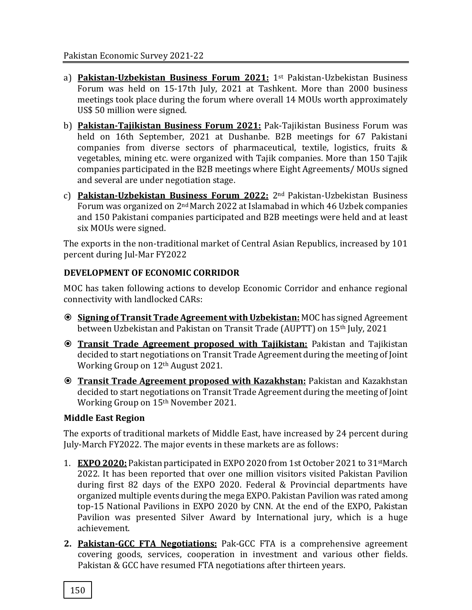- a) **Pakistan-Uzbekistan Business Forum 2021:** 1st Pakistan-Uzbekistan Business Forum was held on 15-17th July, 2021 at Tashkent. More than 2000 business meetings took place during the forum where overall 14 MOUs worth approximately US\$ 50 million were signed.
- b) **Pakistan-Tajikistan Business Forum 2021:** Pak-Tajikistan Business Forum was held on 16th September, 2021 at Dushanbe. B2B meetings for 67 Pakistani companies from diverse sectors of pharmaceutical, textile, logistics, fruits & vegetables, mining etc. were organized with Tajik companies. More than 150 Tajik companies participated in the B2B meetings where Eight Agreements/ MOUs signed and several are under negotiation stage.
- c) **Pakistan-Uzbekistan Business Forum 2022:** 2nd Pakistan-Uzbekistan Business Forum was organized on 2nd March 2022 at Islamabad in which 46 Uzbek companies and 150 Pakistani companies participated and B2B meetings were held and at least six MOUs were signed.

The exports in the non-traditional market of Central Asian Republics, increased by 101 percent during Jul-Mar FY2022

# **DEVELOPMENT OF ECONOMIC CORRIDOR**

MOC has taken following actions to develop Economic Corridor and enhance regional connectivity with landlocked CARs:

- **Signing of Transit Trade Agreement with Uzbekistan:** MOC has signed Agreement between Uzbekistan and Pakistan on Transit Trade (AUPTT) on 15th July, 2021
- **Transit Trade Agreement proposed with Tajikistan:** Pakistan and Tajikistan decided to start negotiations on Transit Trade Agreement during the meeting of Joint Working Group on 12th August 2021.
- **Transit Trade Agreement proposed with Kazakhstan:** Pakistan and Kazakhstan decided to start negotiations on Transit Trade Agreement during the meeting of Joint Working Group on 15th November 2021.

# **Middle East Region**

The exports of traditional markets of Middle East, have increased by 24 percent during July-March FY2022. The major events in these markets are as follows:

- 1. **EXPO 2020:** Pakistan participated in EXPO 2020 from 1st October 2021 to 31stMarch 2022. It has been reported that over one million visitors visited Pakistan Pavilion during first 82 days of the EXPO 2020. Federal & Provincial departments have organized multiple events during the mega EXPO. Pakistan Pavilion was rated among top-15 National Pavilions in EXPO 2020 by CNN. At the end of the EXPO, Pakistan Pavilion was presented Silver Award by International jury, which is a huge achievement.
- **2. Pakistan-GCC FTA Negotiations:** Pak-GCC FTA is a comprehensive agreement covering goods, services, cooperation in investment and various other fields. Pakistan & GCC have resumed FTA negotiations after thirteen years.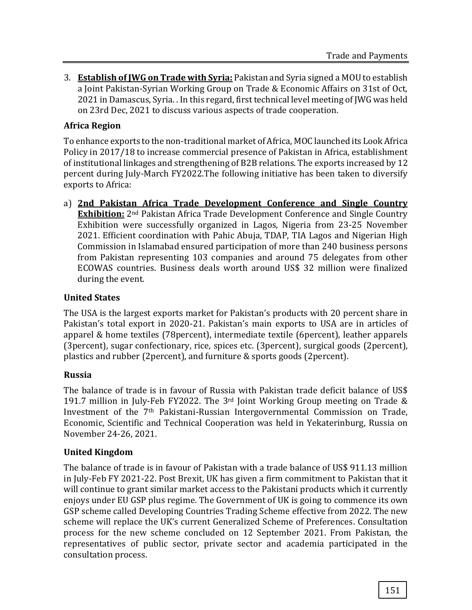3. **Establish of JWG on Trade with Syria:** Pakistan and Syria signed a MOU to establish a Joint Pakistan-Syrian Working Group on Trade & Economic Affairs on 31st of Oct, 2021 in Damascus, Syria. . In this regard, first technical level meeting of JWG was held on 23rd Dec, 2021 to discuss various aspects of trade cooperation.

## **Africa Region**

To enhance exports to the non-traditional market of Africa, MOC launched its Look Africa Policy in 2017/18 to increase commercial presence of Pakistan in Africa, establishment of institutional linkages and strengthening of B2B relations. The exports increased by 12 percent during July-March FY2022.The following initiative has been taken to diversify exports to Africa:

a) **2nd Pakistan Africa Trade Development Conference and Single Country Exhibition:** 2nd Pakistan Africa Trade Development Conference and Single Country Exhibition were successfully organized in Lagos, Nigeria from 23-25 November 2021. Efficient coordination with Pahic Abuja, TDAP, TIA Lagos and Nigerian High Commission in Islamabad ensured participation of more than 240 business persons from Pakistan representing 103 companies and around 75 delegates from other ECOWAS countries. Business deals worth around US\$ 32 million were finalized during the event.

## **United States**

The USA is the largest exports market for Pakistan's products with 20 percent share in Pakistan's total export in 2020-21. Pakistan's main exports to USA are in articles of apparel & home textiles (78percent), intermediate textile (6percent), leather apparels (3percent), sugar confectionary, rice, spices etc. (3percent), surgical goods (2percent), plastics and rubber (2percent), and furniture & sports goods (2percent).

## **Russia**

The balance of trade is in favour of Russia with Pakistan trade deficit balance of US\$ 191.7 million in July-Feb FY2022. The 3rd Joint Working Group meeting on Trade & Investment of the 7th Pakistani-Russian Intergovernmental Commission on Trade, Economic, Scientific and Technical Cooperation was held in Yekaterinburg, Russia on November 24-26, 2021.

## **United Kingdom**

The balance of trade is in favour of Pakistan with a trade balance of US\$ 911.13 million in July-Feb FY 2021-22. Post Brexit, UK has given a firm commitment to Pakistan that it will continue to grant similar market access to the Pakistani products which it currently enjoys under EU GSP plus regime. The Government of UK is going to commence its own GSP scheme called Developing Countries Trading Scheme effective from 2022. The new scheme will replace the UK's current Generalized Scheme of Preferences. Consultation process for the new scheme concluded on 12 September 2021. From Pakistan, the representatives of public sector, private sector and academia participated in the consultation process.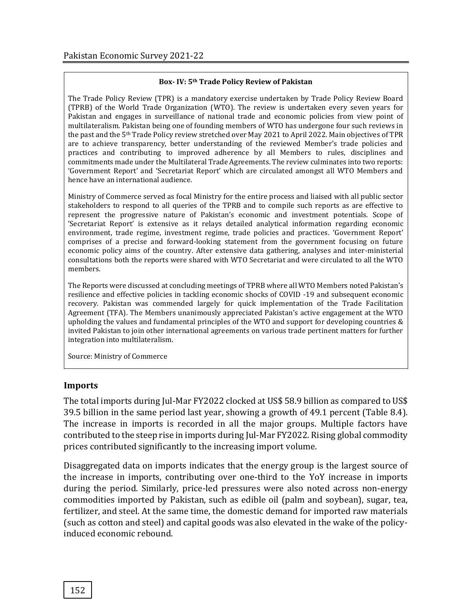#### **Box- IV: 5th Trade Policy Review of Pakistan**

The Trade Policy Review (TPR) is a mandatory exercise undertaken by Trade Policy Review Board (TPRB) of the World Trade Organization (WTO). The review is undertaken every seven years for Pakistan and engages in surveillance of national trade and economic policies from view point of multilateralism. Pakistan being one of founding members of WTO has undergone four such reviews in the past and the 5<sup>th</sup> Trade Policy review stretched over May 2021 to April 2022. Main objectives of TPR are to achieve transparency, better understanding of the reviewed Member's trade policies and practices and contributing to improved adherence by all Members to rules, disciplines and commitments made under the Multilateral Trade Agreements. The review culminates into two reports: 'Government Report' and 'Secretariat Report' which are circulated amongst all WTO Members and hence have an international audience.

Ministry of Commerce served as focal Ministry for the entire process and liaised with all public sector stakeholders to respond to all queries of the TPRB and to compile such reports as are effective to represent the progressive nature of Pakistan's economic and investment potentials. Scope of 'Secretariat Report' is extensive as it relays detailed analytical information regarding economic environment, trade regime, investment regime, trade policies and practices. 'Government Report' comprises of a precise and forward-looking statement from the government focusing on future economic policy aims of the country. After extensive data gathering, analyses and inter-ministerial consultations both the reports were shared with WTO Secretariat and were circulated to all the WTO members.

The Reports were discussed at concluding meetings of TPRB where all WTO Members noted Pakistan's resilience and effective policies in tackling economic shocks of COVID -19 and subsequent economic recovery. Pakistan was commended largely for quick implementation of the Trade Facilitation Agreement (TFA). The Members unanimously appreciated Pakistan's active engagement at the WTO upholding the values and fundamental principles of the WTO and support for developing countries & invited Pakistan to join other international agreements on various trade pertinent matters for further integration into multilateralism.

Source: Ministry of Commerce

#### **Imports**

The total imports during Jul-Mar FY2022 clocked at US\$ 58.9 billion as compared to US\$ 39.5 billion in the same period last year, showing a growth of 49.1 percent (Table 8.4). The increase in imports is recorded in all the major groups. Multiple factors have contributed to the steep rise in imports during Jul-Mar FY2022. Rising global commodity prices contributed significantly to the increasing import volume.

Disaggregated data on imports indicates that the energy group is the largest source of the increase in imports, contributing over one-third to the YoY increase in imports during the period. Similarly, price-led pressures were also noted across non-energy commodities imported by Pakistan, such as edible oil (palm and soybean), sugar, tea, fertilizer, and steel. At the same time, the domestic demand for imported raw materials (such as cotton and steel) and capital goods was also elevated in the wake of the policyinduced economic rebound.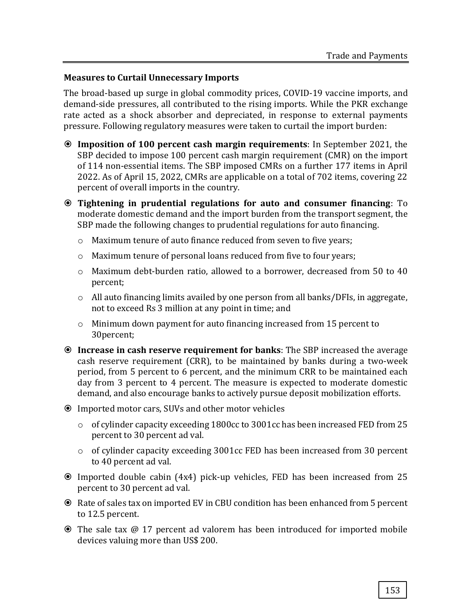## **Measures to Curtail Unnecessary Imports**

The broad-based up surge in global commodity prices, COVID-19 vaccine imports, and demand-side pressures, all contributed to the rising imports. While the PKR exchange rate acted as a shock absorber and depreciated, in response to external payments pressure. Following regulatory measures were taken to curtail the import burden:

- **Imposition of 100 percent cash margin requirements**: In September 2021, the SBP decided to impose 100 percent cash margin requirement (CMR) on the import of 114 non-essential items. The SBP imposed CMRs on a further 177 items in April 2022. As of April 15, 2022, CMRs are applicable on a total of 702 items, covering 22 percent of overall imports in the country.
- **Tightening in prudential regulations for auto and consumer financing**: To moderate domestic demand and the import burden from the transport segment, the SBP made the following changes to prudential regulations for auto financing.
	- o Maximum tenure of auto finance reduced from seven to five years;
	- o Maximum tenure of personal loans reduced from five to four years;
	- o Maximum debt-burden ratio, allowed to a borrower, decreased from 50 to 40 percent;
	- o All auto financing limits availed by one person from all banks/DFIs, in aggregate, not to exceed Rs 3 million at any point in time; and
	- o Minimum down payment for auto financing increased from 15 percent to 30percent;
- **Increase in cash reserve requirement for banks**: The SBP increased the average cash reserve requirement (CRR), to be maintained by banks during a two-week period, from 5 percent to 6 percent, and the minimum CRR to be maintained each day from 3 percent to 4 percent. The measure is expected to moderate domestic demand, and also encourage banks to actively pursue deposit mobilization efforts.
- Imported motor cars, SUVs and other motor vehicles
	- o of cylinder capacity exceeding 1800cc to 3001cc has been increased FED from 25 percent to 30 percent ad val.
	- o of cylinder capacity exceeding 3001cc FED has been increased from 30 percent to 40 percent ad val.
- Imported double cabin (4x4) pick-up vehicles, FED has been increased from 25 percent to 30 percent ad val.
- Rate of sales tax on imported EV in CBU condition has been enhanced from 5 percent to 12.5 percent.
- The sale tax @ 17 percent ad valorem has been introduced for imported mobile devices valuing more than US\$ 200.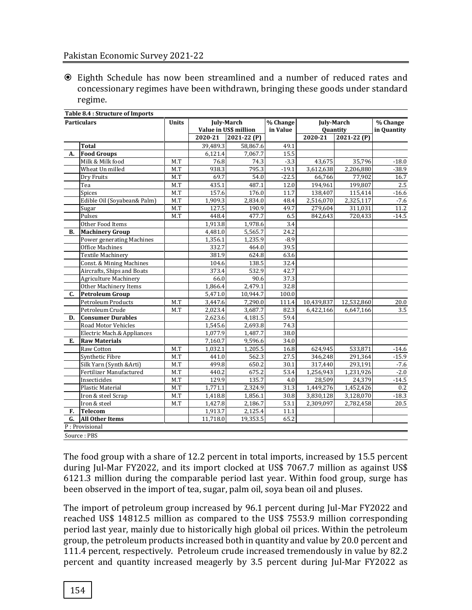#### Pakistan Economic Survey 2021-22

 Eighth Schedule has now been streamlined and a number of reduced rates and concessionary regimes have been withdrawn, bringing these goods under standard regime.

| <b>Particulars</b> |                              | <b>July-March</b><br>Units<br>Value in US\$ million |          | % Change<br>in Value | <b>July-March</b><br>Quantity | % Change<br>in Quantity |                |         |
|--------------------|------------------------------|-----------------------------------------------------|----------|----------------------|-------------------------------|-------------------------|----------------|---------|
|                    |                              |                                                     | 2020-21  | $2021 - 22(P)$       |                               | 2020-21                 | $2021 - 22(P)$ |         |
|                    | <b>Total</b>                 |                                                     | 39,489.3 | 58,867.6             | 49.1                          |                         |                |         |
| А.                 | <b>Food Groups</b>           |                                                     | 6,121.4  | 7,067.7              | 15.5                          |                         |                |         |
|                    | Milk & Milk food             | M.T                                                 | 76.8     | 74.3                 | $-3.3$                        | 43,675                  | 35.796         | $-18.0$ |
|                    | Wheat Un milled              | M.T                                                 | 938.3    | 795.3                | $-19.1$                       | 3,612,638               | 2,206,880      | $-38.9$ |
|                    | Dry Fruits                   | M.T                                                 | 69.7     | 54.0                 | $-22.5$                       | 66,766                  | 77,902         | 16.7    |
|                    | Tea                          | M.T                                                 | 435.1    | 487.1                | 12.0                          | 194,961                 | 199,807        | 2.5     |
|                    | Spices                       | M.T                                                 | 157.6    | 176.0                | 11.7                          | 138,407                 | 115,414        | $-16.6$ |
|                    | Edible Oil (Soyabean& Palm)  | M.T                                                 | 1,909.3  | 2,834.0              | 48.4                          | 2,516,070               | 2,325,117      | $-7.6$  |
|                    | Sugar                        | M.T                                                 | 127.5    | 190.9                | 49.7                          | 279,604                 | 311,031        | 11.2    |
|                    | Pulses                       | M.T                                                 | 448.4    | 477.7                | 6.5                           | 842,643                 | 720,433        | $-14.5$ |
|                    | Other Food Items             |                                                     | 1,913.8  | 1,978.6              | 3.4                           |                         |                |         |
| <b>B.</b>          | <b>Machinery Group</b>       |                                                     | 4,481.0  | 5,565.7              | 24.2                          |                         |                |         |
|                    | Power generating Machines    |                                                     | 1,356.1  | 1,235.9              | $-8.9$                        |                         |                |         |
|                    | <b>Office Machines</b>       |                                                     | 332.7    | 464.0                | 39.5                          |                         |                |         |
|                    | <b>Textile Machinery</b>     |                                                     | 381.9    | 624.8                | 63.6                          |                         |                |         |
|                    | Const. & Mining Machines     |                                                     | 104.6    | 138.5                | 32.4                          |                         |                |         |
|                    | Aircrafts, Ships and Boats   |                                                     | 373.4    | 532.9                | 42.7                          |                         |                |         |
|                    | <b>Agriculture Machinery</b> |                                                     | 66.0     | 90.6                 | 37.3                          |                         |                |         |
|                    | Other Machinery Items        |                                                     | 1,866.4  | 2,479.1              | 32.8                          |                         |                |         |
| $C_{\cdot}$        | <b>Petroleum Group</b>       |                                                     | 5,471.0  | 10,944.7             | 100.0                         |                         |                |         |
|                    | Petroleum Products           | M.T                                                 | 3,447.6  | 7,290.0              | 111.4                         | 10,439,837              | 12,532,860     | 20.0    |
|                    | Petroleum Crude              | M.T                                                 | 2,023.4  | 3,687.7              | 82.3                          | 6,422,166               | 6,647,166      | 3.5     |
| D.                 | <b>Consumer Durables</b>     |                                                     | 2,623.6  | 4,181.5              | 59.4                          |                         |                |         |
|                    | Road Motor Vehicles          |                                                     | 1,545.6  | 2,693.8              | 74.3                          |                         |                |         |
|                    | Electric Mach.& Appliances   |                                                     | 1,077.9  | 1,487.7              | 38.0                          |                         |                |         |
| E.                 | <b>Raw Materials</b>         |                                                     | 7,160.7  | 9,596.6              | 34.0                          |                         |                |         |
|                    | Raw Cotton                   | M.T                                                 | 1,032.1  | 1,205.5              | 16.8                          | 624,945                 | 533,871        | $-14.6$ |
|                    | Synthetic Fibre              | M.T                                                 | 441.0    | 562.3                | 27.5                          | 346,248                 | 291,364        | $-15.9$ |
|                    | Silk Yarn (Synth & Arti)     | M.T                                                 | 499.8    | 650.2                | 30.1                          | 317,440                 | 293,191        | $-7.6$  |
|                    | Fertilizer Manufactured      | M.T                                                 | 440.2    | 675.2                | 53.4                          | 1,256,943               | 1,231,926      | $-2.0$  |
|                    | Insecticides                 | M.T                                                 | 129.9    | 135.7                | 4.0                           | 28,509                  | 24,379         | $-14.5$ |
|                    | Plastic Material             | M.T                                                 | 1,771.1  | 2,324.9              | 31.3                          | 1,449,276               | 1,452,426      | 0.2     |
|                    | Iron & steel Scrap           | M.T                                                 | 1,418.8  | 1,856.1              | 30.8                          | 3,830,128               | 3,128,070      | $-18.3$ |
|                    | Iron & steel                 | M.T                                                 | 1,427.8  | 2,186.7              | 53.1                          | 2,309,097               | 2,782,458      | 20.5    |
| F.                 | <b>Telecom</b>               |                                                     | 1,913.7  | 2,125.4              | 11.1                          |                         |                |         |
| G.                 | <b>All Other Items</b>       |                                                     | 11,718.0 | 19,353.5             | 65.2                          |                         |                |         |
|                    | P: Provisional               |                                                     |          |                      |                               |                         |                |         |
|                    | Source: PBS                  |                                                     |          |                      |                               |                         |                |         |

The food group with a share of 12.2 percent in total imports, increased by 15.5 percent during Jul-Mar FY2022, and its import clocked at US\$ 7067.7 million as against US\$ 6121.3 million during the comparable period last year. Within food group, surge has been observed in the import of tea, sugar, palm oil, soya bean oil and pluses.

The import of petroleum group increased by 96.1 percent during Jul-Mar FY2022 and reached US\$ 14812.5 million as compared to the US\$ 7553.9 million corresponding period last year, mainly due to historically high global oil prices. Within the petroleum group, the petroleum products increased both in quantity and value by 20.0 percent and 111.4 percent, respectively. Petroleum crude increased tremendously in value by 82.2 percent and quantity increased meagerly by 3.5 percent during Jul-Mar FY2022 as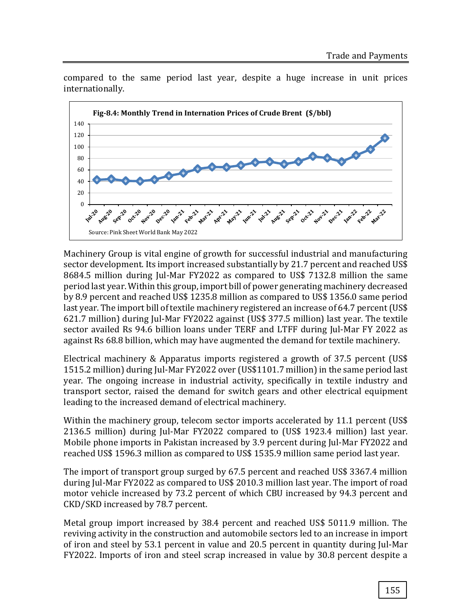

compared to the same period last year, despite a huge increase in unit prices internationally.

Machinery Group is vital engine of growth for successful industrial and manufacturing sector development. Its import increased substantially by 21.7 percent and reached US\$ 8684.5 million during Jul-Mar FY2022 as compared to US\$ 7132.8 million the same period last year. Within this group, import bill of power generating machinery decreased by 8.9 percent and reached US\$ 1235.8 million as compared to US\$ 1356.0 same period last year. The import bill of textile machinery registered an increase of 64.7 percent (US\$ 621.7 million) during Jul-Mar FY2022 against (US\$ 377.5 million) last year. The textile sector availed Rs 94.6 billion loans under TERF and LTFF during Jul-Mar FY 2022 as against Rs 68.8 billion, which may have augmented the demand for textile machinery.

Electrical machinery & Apparatus imports registered a growth of 37.5 percent (US\$ 1515.2 million) during Jul-Mar FY2022 over (US\$1101.7 million) in the same period last year. The ongoing increase in industrial activity, specifically in textile industry and transport sector, raised the demand for switch gears and other electrical equipment leading to the increased demand of electrical machinery.

Within the machinery group, telecom sector imports accelerated by 11.1 percent (US\$) 2136.5 million) during Jul-Mar FY2022 compared to (US\$ 1923.4 million) last year. Mobile phone imports in Pakistan increased by 3.9 percent during Jul-Mar FY2022 and reached US\$ 1596.3 million as compared to US\$ 1535.9 million same period last year.

The import of transport group surged by 67.5 percent and reached US\$ 3367.4 million during Jul-Mar FY2022 as compared to US\$ 2010.3 million last year. The import of road motor vehicle increased by 73.2 percent of which CBU increased by 94.3 percent and CKD/SKD increased by 78.7 percent.

Metal group import increased by 38.4 percent and reached US\$ 5011.9 million. The reviving activity in the construction and automobile sectors led to an increase in import of iron and steel by 53.1 percent in value and 20.5 percent in quantity during Jul-Mar FY2022. Imports of iron and steel scrap increased in value by 30.8 percent despite a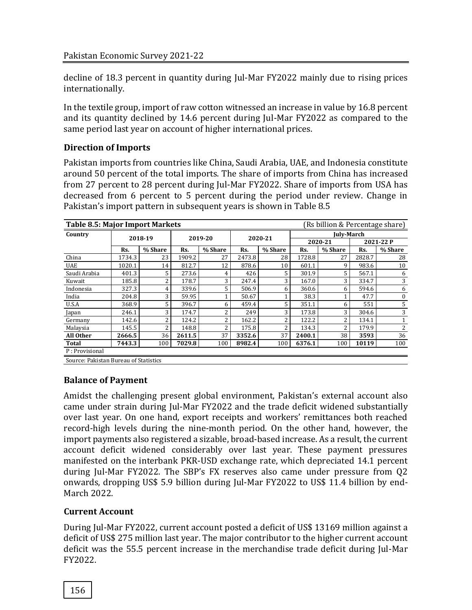decline of 18.3 percent in quantity during Jul-Mar FY2022 mainly due to rising prices internationally.

In the textile group, import of raw cotton witnessed an increase in value by 16.8 percent and its quantity declined by 14.6 percent during Jul-Mar FY2022 as compared to the same period last year on account of higher international prices.

# **Direction of Imports**

Pakistan imports from countries like China, Saudi Arabia, UAE, and Indonesia constitute around 50 percent of the total imports. The share of imports from China has increased from 27 percent to 28 percent during Jul-Mar FY2022. Share of imports from USA has decreased from 6 percent to 5 percent during the period under review. Change in Pakistan's import pattern in subsequent years is shown in Table 8.5

| <b>Table 8.5: Major Import Markets</b><br>(Rs billion & Percentage share) |        |         |         |         |         |         |                   |         |           |              |  |
|---------------------------------------------------------------------------|--------|---------|---------|---------|---------|---------|-------------------|---------|-----------|--------------|--|
| Country                                                                   |        | 2018-19 | 2019-20 |         | 2020-21 |         | <b>Iulv-March</b> |         |           |              |  |
|                                                                           |        |         |         |         |         |         | 2020-21           |         | 2021-22 P |              |  |
|                                                                           | Rs.    | % Share | Rs.     | % Share | Rs.     | % Share | Rs.               | % Share | Rs.       | % Share      |  |
| China                                                                     | 1734.3 | 23      | 1909.2  | 27      | 2473.8  | 28      | 1728.8            | 27      | 2828.7    | 28           |  |
| <b>UAE</b>                                                                | 1020.1 | 14      | 812.7   | 12      | 878.6   | 10      | 601.1             | 9       | 983.6     | 10           |  |
| Saudi Arabia                                                              | 401.3  | 5       | 273.6   | 4       | 426     | 5       | 301.9             | 5       | 567.1     | 6            |  |
| Kuwait                                                                    | 185.8  | 2       | 178.7   | 3       | 247.4   | 3       | 167.0             | 3       | 334.7     | 3            |  |
| Indonesia                                                                 | 327.3  | 4       | 339.6   | 5       | 506.9   | 6       | 360.6             | 6       | 594.6     | 6            |  |
| India                                                                     | 204.8  | 3       | 59.95   |         | 50.67   | 1       | 38.3              |         | 47.7      | $\mathbf{0}$ |  |
| U.S.A                                                                     | 368.9  | 5       | 396.7   | 6       | 459.4   | 5       | 351.1             | 6       | 551       | 5            |  |
| Japan                                                                     | 246.1  | 3       | 174.7   | 2       | 249     | 3       | 173.8             | 3       | 304.6     | 3            |  |
| Germany                                                                   | 142.6  | 2       | 124.2   | n       | 162.2   | 2       | 122.2             | 2       | 134.1     |              |  |
| Malaysia                                                                  | 145.5  | 2       | 148.8   | 2       | 175.8   | 2       | 134.3             | 2       | 179.9     | 2            |  |
| All Other                                                                 | 2666.5 | 36      | 2611.5  | 37      | 3352.6  | 37      | 2400.1            | 38      | 3593      | 36           |  |
| <b>Total</b>                                                              | 7443.3 | 100     | 7029.8  | 100     | 8982.4  | 100     | 6376.1            | 100     | 10119     | 100          |  |
| P: Provisional                                                            |        |         |         |         |         |         |                   |         |           |              |  |
| Source: Pakietan Rureau of Statistics                                     |        |         |         |         |         |         |                   |         |           |              |  |

Source: Pakistan Bureau of Statistics

# **Balance of Payment**

Amidst the challenging present global environment, Pakistan's external account also came under strain during Jul-Mar FY2022 and the trade deficit widened substantially over last year. On one hand, export receipts and workers' remittances both reached record-high levels during the nine-month period. On the other hand, however, the import payments also registered a sizable, broad-based increase. As a result, the current account deficit widened considerably over last year. These payment pressures manifested on the interbank PKR-USD exchange rate, which depreciated 14.1 percent during Jul-Mar FY2022. The SBP's FX reserves also came under pressure from Q2 onwards, dropping US\$ 5.9 billion during Jul-Mar FY2022 to US\$ 11.4 billion by end-March 2022.

# **Current Account**

During Jul-Mar FY2022, current account posted a deficit of US\$ 13169 million against a deficit of US\$ 275 million last year. The major contributor to the higher current account deficit was the 55.5 percent increase in the merchandise trade deficit during Jul-Mar FY2022.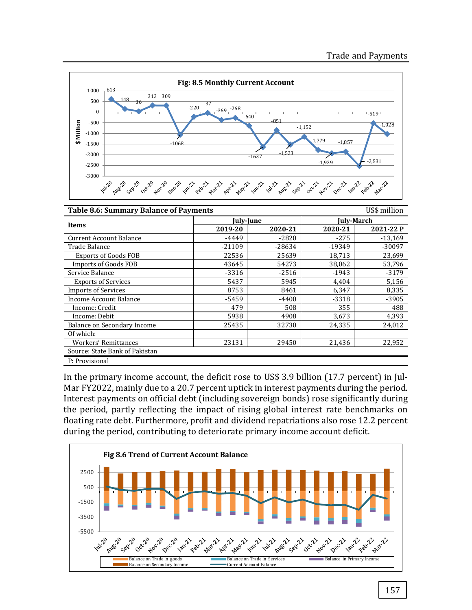

| <b>Table 8.6: Summary Balance of Payments</b><br>US\$ million |           |          |            |           |  |  |  |  |
|---------------------------------------------------------------|-----------|----------|------------|-----------|--|--|--|--|
| Items                                                         | July-June |          | July-March |           |  |  |  |  |
|                                                               | 2019-20   | 2020-21  | 2020-21    | 2021-22 P |  |  |  |  |
| <b>Current Account Balance</b>                                | -4449     | $-2820$  | $-275$     | $-13.169$ |  |  |  |  |
| Trade Balance                                                 | $-21109$  | $-28634$ | -19349     | $-30097$  |  |  |  |  |
| <b>Exports of Goods FOB</b>                                   | 22536     | 25639    | 18,713     | 23,699    |  |  |  |  |
| Imports of Goods FOB                                          | 43645     | 54273    | 38,062     | 53,796    |  |  |  |  |
| Service Balance                                               | $-3316$   | $-2516$  | $-1943$    | $-3179$   |  |  |  |  |
| <b>Exports of Services</b>                                    | 5437      | 5945     | 4,404      | 5,156     |  |  |  |  |
| <b>Imports of Services</b>                                    | 8753      | 8461     | 6,347      | 8,335     |  |  |  |  |
| Income Account Balance                                        | -5459     | $-4400$  | $-3318$    | $-3905$   |  |  |  |  |
| Income: Credit                                                | 479       | 508      | 355        | 488       |  |  |  |  |
| Income: Debit                                                 | 5938      | 4908     | 3,673      | 4,393     |  |  |  |  |
| Balance on Secondary Income                                   | 25435     | 32730    | 24,335     | 24,012    |  |  |  |  |
| Of which:                                                     |           |          |            |           |  |  |  |  |
| Workers' Remittances                                          | 23131     | 29450    | 21.436     | 22,952    |  |  |  |  |
| Source: State Bank of Pakistan                                |           |          |            |           |  |  |  |  |
| P: Provisional                                                |           |          |            |           |  |  |  |  |

In the primary income account, the deficit rose to US\$ 3.9 billion (17.7 percent) in Jul-Mar FY2022, mainly due to a 20.7 percent uptick in interest payments during the period. Interest payments on official debt (including sovereign bonds) rose significantly during the period, partly reflecting the impact of rising global interest rate benchmarks on floating rate debt. Furthermore, profit and dividend repatriations also rose 12.2 percent during the period, contributing to deteriorate primary income account deficit.

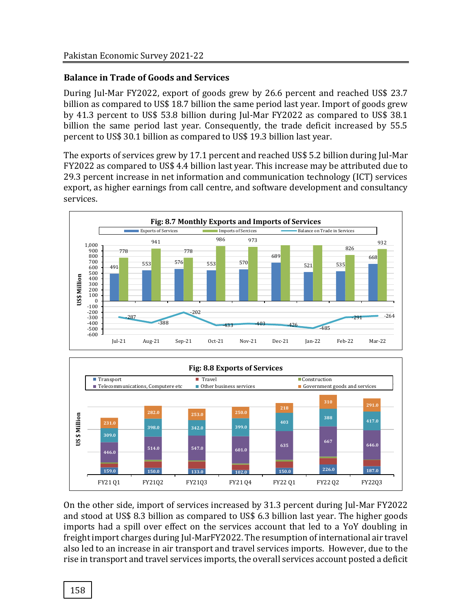## **Balance in Trade of Goods and Services**

During Jul-Mar FY2022, export of goods grew by 26.6 percent and reached US\$ 23.7 billion as compared to US\$ 18.7 billion the same period last year. Import of goods grew by 41.3 percent to US\$ 53.8 billion during Jul-Mar FY2022 as compared to US\$ 38.1 billion the same period last year. Consequently, the trade deficit increased by 55.5 percent to US\$ 30.1 billion as compared to US\$ 19.3 billion last year.

The exports of services grew by 17.1 percent and reached US\$ 5.2 billion during Jul-Mar FY2022 as compared to US\$ 4.4 billion last year. This increase may be attributed due to 29.3 percent increase in net information and communication technology (ICT) services export, as higher earnings from call centre, and software development and consultancy services.





On the other side, import of services increased by 31.3 percent during Jul-Mar FY2022 and stood at US\$ 8.3 billion as compared to US\$ 6.3 billion last year. The higher goods imports had a spill over effect on the services account that led to a YoY doubling in freight import charges during Jul-MarFY2022. The resumption of international air travel also led to an increase in air transport and travel services imports. However, due to the rise in transport and travel services imports, the overall services account posted a deficit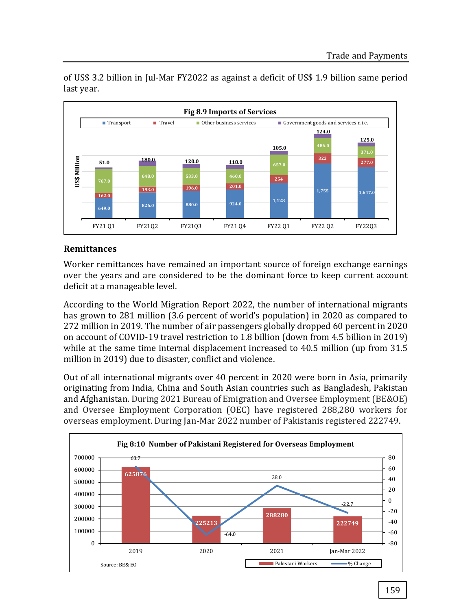

of US\$ 3.2 billion in Jul-Mar FY2022 as against a deficit of US\$ 1.9 billion same period last year.

## **Remittances**

Worker remittances have remained an important source of foreign exchange earnings over the years and are considered to be the dominant force to keep current account deficit at a manageable level.

According to the World Migration Report 2022, the number of international migrants has grown to 281 million (3.6 percent of world's population) in 2020 as compared to 272 million in 2019. The number of air passengers globally dropped 60 percent in 2020 on account of COVID-19 travel restriction to 1.8 billion (down from 4.5 billion in 2019) while at the same time internal displacement increased to 40.5 million (up from 31.5 million in 2019) due to disaster, conflict and violence.

Out of all international migrants over 40 percent in 2020 were born in Asia, primarily originating from India, China and South Asian countries such as Bangladesh, Pakistan and Afghanistan. During 2021 Bureau of Emigration and Oversee Employment (BE&OE) and Oversee Employment Corporation (OEC) have registered 288,280 workers for overseas employment. During Jan-Mar 2022 number of Pakistanis registered 222749.

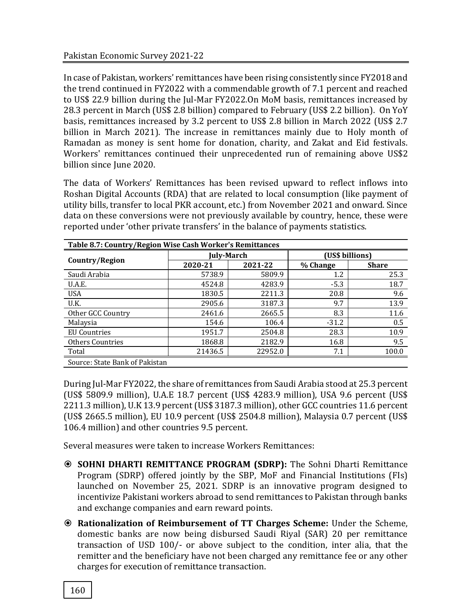In case of Pakistan, workers' remittances have been rising consistently since FY2018 and the trend continued in FY2022 with a commendable growth of 7.1 percent and reached to US\$ 22.9 billion during the Jul-Mar FY2022.On MoM basis, remittances increased by 28.3 percent in March (US\$ 2.8 billion) compared to February (US\$ 2.2 billion). On YoY basis, remittances increased by 3.2 percent to US\$ 2.8 billion in March 2022 (US\$ 2.7 billion in March 2021). The increase in remittances mainly due to Holy month of Ramadan as money is sent home for donation, charity, and Zakat and Eid festivals. Workers' remittances continued their unprecedented run of remaining above US\$2 billion since June 2020.

The data of Workers' Remittances has been revised upward to reflect inflows into Roshan Digital Accounts (RDA) that are related to local consumption (like payment of utility bills, transfer to local PKR account, etc.) from November 2021 and onward. Since data on these conversions were not previously available by country, hence, these were reported under 'other private transfers' in the balance of payments statistics.

| Table 8.7: Country/Region Wise Cash Worker's Remittances |            |         |                 |              |  |  |  |  |  |
|----------------------------------------------------------|------------|---------|-----------------|--------------|--|--|--|--|--|
|                                                          | July-March |         | (US\$ billions) |              |  |  |  |  |  |
| Country/Region                                           | 2020-21    | 2021-22 | % Change        | <b>Share</b> |  |  |  |  |  |
| Saudi Arabia                                             | 5738.9     | 5809.9  | 1.2             | 25.3         |  |  |  |  |  |
| U.A.E.                                                   | 4524.8     | 4283.9  | $-5.3$          | 18.7         |  |  |  |  |  |
| <b>USA</b>                                               | 1830.5     | 2211.3  | 20.8            | 9.6          |  |  |  |  |  |
| U.K.                                                     | 2905.6     | 3187.3  | 9.7             | 13.9         |  |  |  |  |  |
| Other GCC Country                                        | 2461.6     | 2665.5  | 8.3             | 11.6         |  |  |  |  |  |
| Malaysia                                                 | 154.6      | 106.4   | $-31.2$         | 0.5          |  |  |  |  |  |
| <b>EU</b> Countries                                      | 1951.7     | 2504.8  | 28.3            | 10.9         |  |  |  |  |  |
| <b>Others Countries</b>                                  | 1868.8     | 2182.9  | 16.8            | 9.5          |  |  |  |  |  |
| Total                                                    | 21436.5    | 22952.0 | 7.1             | 100.0        |  |  |  |  |  |
| Source: State Bank of Pakistan                           |            |         |                 |              |  |  |  |  |  |

During Jul-Mar FY2022, the share of remittances from Saudi Arabia stood at 25.3 percent (US\$ 5809.9 million), U.A.E 18.7 percent (US\$ 4283.9 million), USA 9.6 percent (US\$ 2211.3 million), U.K 13.9 percent (US\$ 3187.3 million), other GCC countries 11.6 percent (US\$ 2665.5 million), EU 10.9 percent (US\$ 2504.8 million), Malaysia 0.7 percent (US\$ 106.4 million) and other countries 9.5 percent.

Several measures were taken to increase Workers Remittances:

- **SOHNI DHARTI REMITTANCE PROGRAM (SDRP):** The Sohni Dharti Remittance Program (SDRP) offered jointly by the SBP, MoF and Financial Institutions (FIs) launched on November 25, 2021. SDRP is an innovative program designed to incentivize Pakistani workers abroad to send remittances to Pakistan through banks and exchange companies and earn reward points.
- **Rationalization of Reimbursement of TT Charges Scheme:** Under the Scheme, domestic banks are now being disbursed Saudi Riyal (SAR) 20 per remittance transaction of USD 100/- or above subject to the condition, inter alia, that the remitter and the beneficiary have not been charged any remittance fee or any other charges for execution of remittance transaction.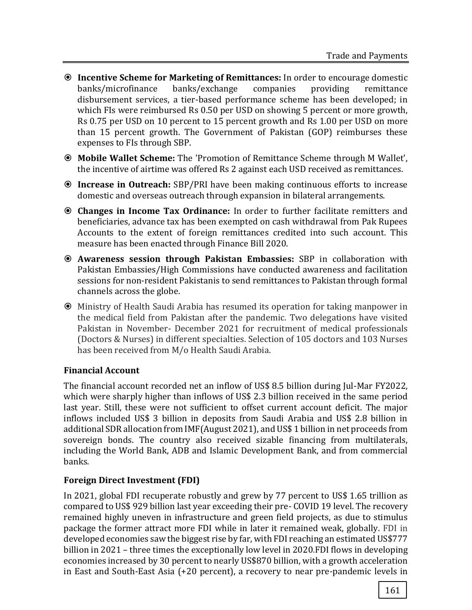- **Incentive Scheme for Marketing of Remittances:** In order to encourage domestic banks/microfinance banks/exchange companies providing remittance disbursement services, a tier-based performance scheme has been developed; in which FIs were reimbursed Rs 0.50 per USD on showing 5 percent or more growth, Rs 0.75 per USD on 10 percent to 15 percent growth and Rs 1.00 per USD on more than 15 percent growth. The Government of Pakistan (GOP) reimburses these expenses to FIs through SBP.
- **Mobile Wallet Scheme:** The 'Promotion of Remittance Scheme through M Wallet', the incentive of airtime was offered Rs 2 against each USD received as remittances.
- **Increase in Outreach:** SBP/PRI have been making continuous efforts to increase domestic and overseas outreach through expansion in bilateral arrangements.
- **Changes in Income Tax Ordinance:** In order to further facilitate remitters and beneficiaries, advance tax has been exempted on cash withdrawal from Pak Rupees Accounts to the extent of foreign remittances credited into such account. This measure has been enacted through Finance Bill 2020.
- **Awareness session through Pakistan Embassies:** SBP in collaboration with Pakistan Embassies/High Commissions have conducted awareness and facilitation sessions for non-resident Pakistanis to send remittances to Pakistan through formal channels across the globe.
- Ministry of Health Saudi Arabia has resumed its operation for taking manpower in the medical field from Pakistan after the pandemic. Two delegations have visited Pakistan in November- December 2021 for recruitment of medical professionals (Doctors & Nurses) in different specialties. Selection of 105 doctors and 103 Nurses has been received from M/o Health Saudi Arabia.

# **Financial Account**

The financial account recorded net an inflow of US\$ 8.5 billion during Jul-Mar FY2022, which were sharply higher than inflows of US\$ 2.3 billion received in the same period last year. Still, these were not sufficient to offset current account deficit. The major inflows included US\$ 3 billion in deposits from Saudi Arabia and US\$ 2.8 billion in additional SDR allocation from IMF(August 2021), and US\$ 1 billion in net proceeds from sovereign bonds. The country also received sizable financing from multilaterals, including the World Bank, ADB and Islamic Development Bank, and from commercial banks.

# **Foreign Direct Investment (FDI)**

In 2021, global FDI recuperate robustly and grew by 77 percent to US\$ 1.65 trillion as compared to US\$ 929 billion last year exceeding their pre- COVID 19 level. The recovery remained highly uneven in infrastructure and green field projects, as due to stimulus package the former attract more FDI while in later it remained weak, globally. FDI in developed economies saw the biggest rise by far, with FDI reaching an estimated US\$777 billion in 2021 – three times the exceptionally low level in 2020.FDI flows in developing economies increased by 30 percent to nearly US\$870 billion, with a growth acceleration in East and South-East Asia (+20 percent), a recovery to near pre-pandemic levels in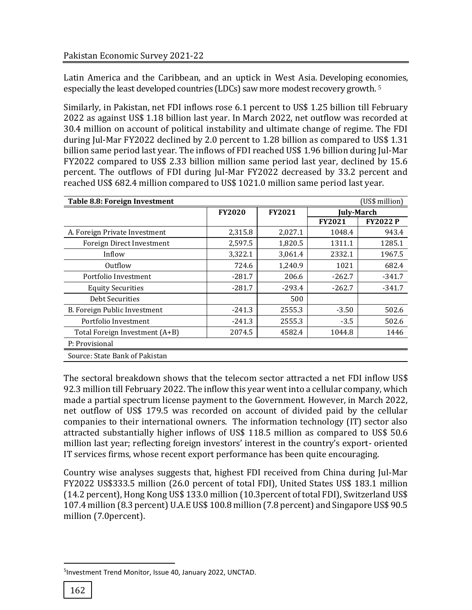Latin America and the Caribbean, and an uptick in West Asia. Developing economies, especially the least developed countries (LDCs) saw more modest recovery growth. <sup>5</sup>

Similarly, in Pakistan, net FDI inflows rose 6.1 percent to US\$ 1.25 billion till February 2022 as against US\$ 1.18 billion last year. In March 2022, net outflow was recorded at 30.4 million on account of political instability and ultimate change of regime. The FDI during Jul-Mar FY2022 declined by 2.0 percent to 1.28 billion as compared to US\$ 1.31 billion same period last year. The inflows of FDI reached US\$ 1.96 billion during Jul-Mar FY2022 compared to US\$ 2.33 billion million same period last year, declined by 15.6 percent. The outflows of FDI during Jul-Mar FY2022 decreased by 33.2 percent and reached US\$ 682.4 million compared to US\$ 1021.0 million same period last year.

| Table 8.8: Foreign Investment  |               | (US\$ million) |               |                 |
|--------------------------------|---------------|----------------|---------------|-----------------|
|                                | <b>FY2020</b> | <b>FY2021</b>  |               | July-March      |
|                                |               |                | <b>FY2021</b> | <b>FY2022 P</b> |
| A. Foreign Private Investment  | 2,315.8       | 2,027.1        | 1048.4        | 943.4           |
| Foreign Direct Investment      | 2,597.5       | 1,820.5        | 1311.1        | 1285.1          |
| Inflow                         | 3,322.1       | 3,061.4        | 2332.1        | 1967.5          |
| Outflow                        | 724.6         | 1,240.9        | 1021          | 682.4           |
| Portfolio Investment           | $-281.7$      | 206.6          | $-262.7$      | -341.7          |
| <b>Equity Securities</b>       | $-281.7$      | $-293.4$       | $-262.7$      | -341.7          |
| <b>Debt Securities</b>         |               | 500            |               |                 |
| B. Foreign Public Investment   | $-241.3$      | 2555.3         | $-3.50$       | 502.6           |
| Portfolio Investment           | $-241.3$      | 2555.3         | $-3.5$        | 502.6           |
| Total Foreign Investment (A+B) | 2074.5        | 4582.4         | 1044.8        | 1446            |
| P: Provisional                 |               |                |               |                 |
| Source: State Bank of Pakistan |               |                |               |                 |

The sectoral breakdown shows that the telecom sector attracted a net FDI inflow US\$ 92.3 million till February 2022. The inflow this year went into a cellular company, which made a partial spectrum license payment to the Government. However, in March 2022, net outflow of US\$ 179.5 was recorded on account of divided paid by the cellular companies to their international owners. The information technology (IT) sector also attracted substantially higher inflows of US\$ 118.5 million as compared to US\$ 50.6 million last year; reflecting foreign investors' interest in the country's export- oriented IT services firms, whose recent export performance has been quite encouraging.

Country wise analyses suggests that, highest FDI received from China during Jul-Mar FY2022 US\$333.5 million (26.0 percent of total FDI), United States US\$ 183.1 million (14.2 percent), Hong Kong US\$ 133.0 million (10.3percent of total FDI), Switzerland US\$ 107.4 million (8.3 percent) U.A.E US\$ 100.8 million (7.8 percent) and Singapore US\$ 90.5 million (7.0percent).

 $\overline{a}$ 

<sup>5</sup> Investment Trend Monitor, Issue 40, January 2022, UNCTAD.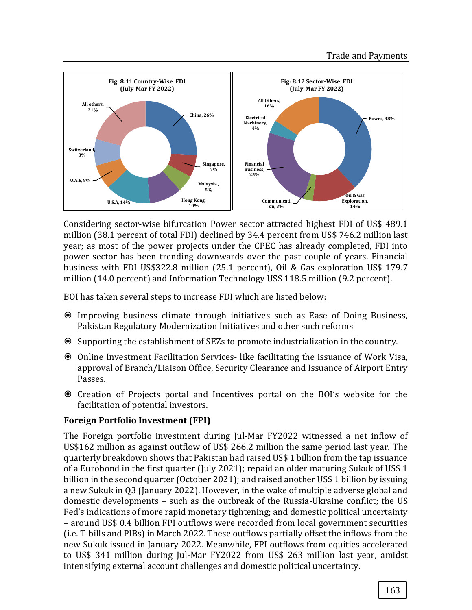

Considering sector-wise bifurcation Power sector attracted highest FDI of US\$ 489.1 million (38.1 percent of total FDI) declined by 34.4 percent from US\$ 746.2 million last year; as most of the power projects under the CPEC has already completed, FDI into power sector has been trending downwards over the past couple of years. Financial business with FDI US\$322.8 million (25.1 percent), Oil & Gas exploration US\$ 179.7 million (14.0 percent) and Information Technology US\$ 118.5 million (9.2 percent).

BOI has taken several steps to increase FDI which are listed below:

- Improving business climate through initiatives such as Ease of Doing Business, Pakistan Regulatory Modernization Initiatives and other such reforms
- Supporting the establishment of SEZs to promote industrialization in the country.
- Online Investment Facilitation Services- like facilitating the issuance of Work Visa, approval of Branch/Liaison Office, Security Clearance and Issuance of Airport Entry Passes.
- Creation of Projects portal and Incentives portal on the BOI's website for the facilitation of potential investors.

## **Foreign Portfolio Investment (FPI)**

The Foreign portfolio investment during Jul-Mar FY2022 witnessed a net inflow of US\$162 million as against outflow of US\$ 266.2 million the same period last year. The quarterly breakdown shows that Pakistan had raised US\$ 1 billion from the tap issuance of a Eurobond in the first quarter (July 2021); repaid an older maturing Sukuk of US\$ 1 billion in the second quarter (October 2021); and raised another US\$ 1 billion by issuing a new Sukuk in Q3 (January 2022). However, in the wake of multiple adverse global and domestic developments – such as the outbreak of the Russia-Ukraine conflict; the US Fed's indications of more rapid monetary tightening; and domestic political uncertainty – around US\$ 0.4 billion FPI outflows were recorded from local government securities (i.e. T-bills and PIBs) in March 2022. These outflows partially offset the inflows from the new Sukuk issued in January 2022. Meanwhile, FPI outflows from equities accelerated to US\$ 341 million during Jul-Mar FY2022 from US\$ 263 million last year, amidst intensifying external account challenges and domestic political uncertainty.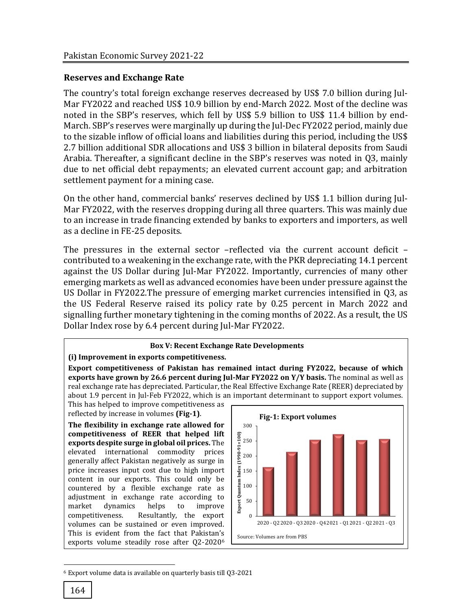## **Reserves and Exchange Rate**

The country's total foreign exchange reserves decreased by US\$ 7.0 billion during Jul-Mar FY2022 and reached US\$ 10.9 billion by end-March 2022. Most of the decline was noted in the SBP's reserves, which fell by US\$ 5.9 billion to US\$ 11.4 billion by end-March. SBP's reserves were marginally up during the Jul-Dec FY2022 period, mainly due to the sizable inflow of official loans and liabilities during this period, including the US\$ 2.7 billion additional SDR allocations and US\$ 3 billion in bilateral deposits from Saudi Arabia. Thereafter, a significant decline in the SBP's reserves was noted in Q3, mainly due to net official debt repayments; an elevated current account gap; and arbitration settlement payment for a mining case.

On the other hand, commercial banks' reserves declined by US\$ 1.1 billion during Jul-Mar FY2022, with the reserves dropping during all three quarters. This was mainly due to an increase in trade financing extended by banks to exporters and importers, as well as a decline in FE-25 deposits.

The pressures in the external sector –reflected via the current account deficit – contributed to a weakening in the exchange rate, with the PKR depreciating 14.1 percent against the US Dollar during Jul-Mar FY2022. Importantly, currencies of many other emerging markets as well as advanced economies have been under pressure against the US Dollar in FY2022.The pressure of emerging market currencies intensified in Q3, as the US Federal Reserve raised its policy rate by 0.25 percent in March 2022 and signalling further monetary tightening in the coming months of 2022. As a result, the US Dollar Index rose by 6.4 percent during Jul-Mar FY2022.

#### **Box V: Recent Exchange Rate Developments**

#### **(i) Improvement in exports competitiveness.**

**Export competitiveness of Pakistan has remained intact during FY2022, because of which exports have grown by 26.6 percent during Jul-Mar FY2022 on Y/Y basis.** The nominal as well as real exchange rate has depreciated. Particular, the Real Effective Exchange Rate (REER) depreciated by about 1.9 percent in Jul-Feb FY2022, which is an important determinant to support export volumes.

This has helped to improve competitiveness as reflected by increase in volumes **(Fig-1)**.

**The flexibility in exchange rate allowed for competitiveness of REER that helped lift exports despite surge in global oil prices.** The elevated international commodity prices generally affect Pakistan negatively as surge in price increases input cost due to high import content in our exports. This could only be countered by a flexible exchange rate as adjustment in exchange rate according to market dynamics helps to improve competitiveness. Resultantly, the export volumes can be sustained or even improved. This is evident from the fact that Pakistan's exports volume steadily rose after Q2-2020<sup>6</sup>



<sup>6</sup> Export volume data is available on quarterly basis till Q3-2021

l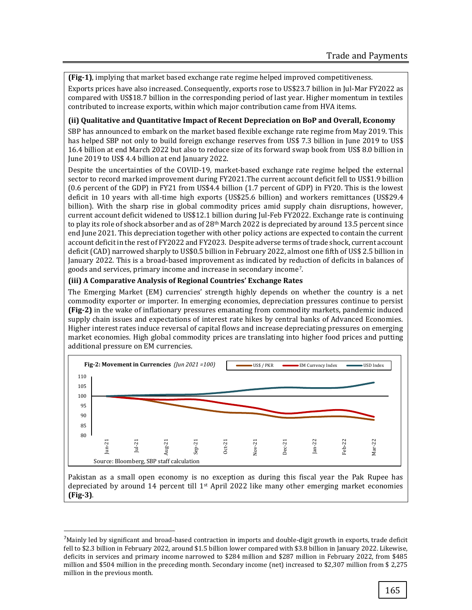**(Fig-1)**, implying that market based exchange rate regime helped improved competitiveness.

Exports prices have also increased. Consequently, exports rose to US\$23.7 billion in Jul-Mar FY2022 as compared with US\$18.7 billion in the corresponding period of last year. Higher momentum in textiles contributed to increase exports, within which major contribution came from HVA items.

#### **(ii) Qualitative and Quantitative Impact of Recent Depreciation on BoP and Overall, Economy**

SBP has announced to embark on the market based flexible exchange rate regime from May 2019. This has helped SBP not only to build foreign exchange reserves from US\$ 7.3 billion in June 2019 to US\$ 16.4 billion at end March 2022 but also to reduce size of its forward swap book from US\$ 8.0 billion in June 2019 to US\$ 4.4 billion at end January 2022.

Despite the uncertainties of the COVID-19, market-based exchange rate regime helped the external sector to record marked improvement during FY2021.The current account deficit fell to US\$1.9 billion (0.6 percent of the GDP) in FY21 from US\$4.4 billion (1.7 percent of GDP) in FY20. This is the lowest deficit in 10 years with all-time high exports (US\$25.6 billion) and workers remittances (US\$29.4 billion). With the sharp rise in global commodity prices amid supply chain disruptions, however, current account deficit widened to US\$12.1 billion during Jul-Feb FY2022. Exchange rate is continuing to play its role of shock absorber and as of 28<sup>th</sup> March 2022 is depreciated by around 13.5 percent since end June 2021. This depreciation together with other policy actions are expected to contain the current account deficit in the rest of FY2022 and FY2023. Despite adverse terms of trade shock, current account deficit (CAD) narrowed sharply to US\$0.5 billion in February 2022, almost one fifth of US\$ 2.5 billion in January 2022. This is a broad-based improvement as indicated by reduction of deficits in balances of goods and services, primary income and increase in secondary income7.

#### **(iii) A Comparative Analysis of Regional Countries' Exchange Rates**

l

The Emerging Market (EM) currencies' strength highly depends on whether the country is a net commodity exporter or importer. In emerging economies, depreciation pressures continue to persist **(Fig-2)** in the wake of inflationary pressures emanating from commodity markets, pandemic induced supply chain issues and expectations of interest rate hikes by central banks of Advanced Economies. Higher interest rates induce reversal of capital flows and increase depreciating pressures on emerging market economies. High global commodity prices are translating into higher food prices and putting additional pressure on EM currencies.



Pakistan as a small open economy is no exception as during this fiscal year the Pak Rupee has depreciated by around 14 percent till  $1<sup>st</sup>$  April 2022 like many other emerging market economies **(Fig-3)**.

<sup>7</sup>Mainly led by significant and broad-based contraction in imports and double-digit growth in exports, trade deficit fell to \$2.3 billion in February 2022, around \$1.5 billion lower compared with \$3.8 billion in January 2022. Likewise, deficits in services and primary income narrowed to \$284 million and \$287 million in February 2022, from \$485 million and \$504 million in the preceding month. Secondary income (net) increased to \$2,307 million from \$ 2,275 million in the previous month.